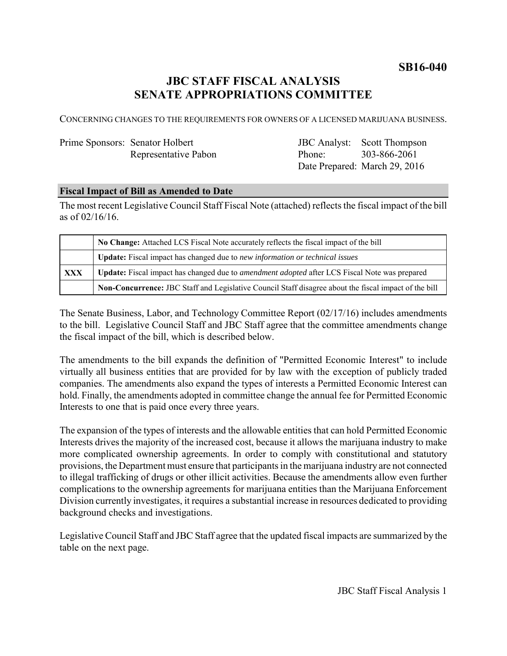**SB16-040**

# **JBC STAFF FISCAL ANALYSIS SENATE APPROPRIATIONS COMMITTEE**

CONCERNING CHANGES TO THE REQUIREMENTS FOR OWNERS OF A LICENSED MARIJUANA BUSINESS.

# Prime Sponsors: Senator Holbert Representative Pabon

JBC Analyst: Scott Thompson Phone: Date Prepared: March 29, 2016 303-866-2061

# **Fiscal Impact of Bill as Amended to Date**

The most recent Legislative Council Staff Fiscal Note (attached) reflects the fiscal impact of the bill as of 02/16/16.

|     | No Change: Attached LCS Fiscal Note accurately reflects the fiscal impact of the bill                       |
|-----|-------------------------------------------------------------------------------------------------------------|
|     | Update: Fiscal impact has changed due to new information or technical issues                                |
| XXX | <b>Update:</b> Fiscal impact has changed due to <i>amendment adopted</i> after LCS Fiscal Note was prepared |
|     | Non-Concurrence: JBC Staff and Legislative Council Staff disagree about the fiscal impact of the bill       |

The Senate Business, Labor, and Technology Committee Report (02/17/16) includes amendments to the bill. Legislative Council Staff and JBC Staff agree that the committee amendments change the fiscal impact of the bill, which is described below.

The amendments to the bill expands the definition of "Permitted Economic Interest" to include virtually all business entities that are provided for by law with the exception of publicly traded companies. The amendments also expand the types of interests a Permitted Economic Interest can hold. Finally, the amendments adopted in committee change the annual fee for Permitted Economic Interests to one that is paid once every three years.

The expansion of the types of interests and the allowable entities that can hold Permitted Economic Interests drives the majority of the increased cost, because it allows the marijuana industry to make more complicated ownership agreements. In order to comply with constitutional and statutory provisions, the Department must ensure that participants in the marijuana industry are not connected to illegal trafficking of drugs or other illicit activities. Because the amendments allow even further complications to the ownership agreements for marijuana entities than the Marijuana Enforcement Division currently investigates, it requires a substantial increase in resources dedicated to providing background checks and investigations.

Legislative Council Staff and JBC Staff agree that the updated fiscal impacts are summarized by the table on the next page.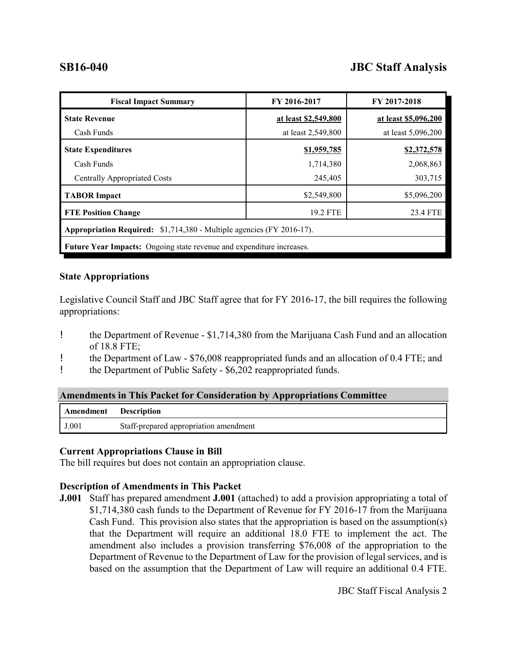# **SB16-040 JBC Staff Analysis**

| <b>Fiscal Impact Summary</b>                                                 | FY 2016-2017         | FY 2017-2018         |  |  |  |
|------------------------------------------------------------------------------|----------------------|----------------------|--|--|--|
| <b>State Revenue</b>                                                         | at least \$2,549,800 | at least \$5,096,200 |  |  |  |
| Cash Funds                                                                   | at least 2,549,800   | at least 5,096,200   |  |  |  |
| <b>State Expenditures</b>                                                    | \$1,959,785          | \$2,372,578          |  |  |  |
| Cash Funds                                                                   | 1,714,380            | 2,068,863            |  |  |  |
| <b>Centrally Appropriated Costs</b>                                          | 245,405              | 303,715              |  |  |  |
| <b>TABOR Impact</b>                                                          | \$2,549,800          | \$5,096,200          |  |  |  |
| <b>FTE Position Change</b>                                                   | 19.2 FTE             | 23.4 FTE             |  |  |  |
| Appropriation Required: \$1,714,380 - Multiple agencies (FY 2016-17).        |                      |                      |  |  |  |
| <b>Future Year Impacts:</b> Ongoing state revenue and expenditure increases. |                      |                      |  |  |  |

### **State Appropriations**

Legislative Council Staff and JBC Staff agree that for FY 2016-17, the bill requires the following appropriations:

- ! the Department of Revenue \$1,714,380 from the Marijuana Cash Fund and an allocation of 18.8 FTE;
- ! the Department of Law \$76,008 reappropriated funds and an allocation of 0.4 FTE; and
- ! the Department of Public Safety \$6,202 reappropriated funds.

| <b>Amendments in This Packet for Consideration by Appropriations Committee</b> |  |  |  |  |  |  |
|--------------------------------------------------------------------------------|--|--|--|--|--|--|
| Amendment Description                                                          |  |  |  |  |  |  |

### **Current Appropriations Clause in Bill**

The bill requires but does not contain an appropriation clause.

### **Description of Amendments in This Packet**

J.001 Staff-prepared appropriation amendment

**J.001** Staff has prepared amendment **J.001** (attached) to add a provision appropriating a total of \$1,714,380 cash funds to the Department of Revenue for FY 2016-17 from the Marijuana Cash Fund. This provision also states that the appropriation is based on the assumption(s) that the Department will require an additional 18.0 FTE to implement the act. The amendment also includes a provision transferring \$76,008 of the appropriation to the Department of Revenue to the Department of Law for the provision of legal services, and is based on the assumption that the Department of Law will require an additional 0.4 FTE.